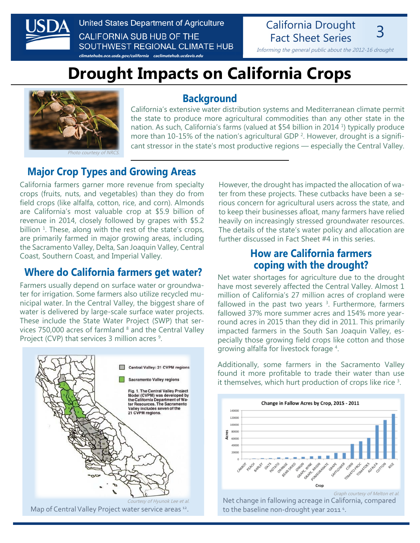

United States Department of Agriculture **CALIFORNIA SUB HUB OF THE** SOUTHWEST REGIONAL CLIMATE HUB

**[climatehubs.oce.usda.gov/california](http://climatehubs.oce.usda.gov/california) [caclimatehub.ucdavis.edu](http://caclimatehub.ucdavis.edu)**

## California Drought **Fact Sheet Series**

Informing the general public about the 2012-16 drought

# **Drought Impacts on California Crops**



noto courtesy of Ni

#### **Background**

California's extensive water distribution systems and Mediterranean climate permit the state to produce more agricultural commodities than any other state in the nation. As such, California's farms (valued at \$54 billion in 2014<sup>1</sup>) typically produce more than 10-15% of the nation's agricultural GDP<sup>2</sup>. However, drought is a significant stressor in the state's most productive regions — especially the Central Valley.

## **Major Crop Types and Growing Areas**

California farmers garner more revenue from specialty crops (fruits, nuts, and vegetables) than they do from field crops (like alfalfa, cotton, rice, and corn). Almonds are California's most valuable crop at \$5.9 billion of revenue in 2014, closely followed by grapes with \$5.2 billion <sup>1</sup>. These, along with the rest of the state's crops, are primarily farmed in major growing areas, including the Sacramento Valley, Delta, San Joaquin Valley, Central Coast, Southern Coast, and Imperial Valley.

#### **Where do California farmers get water?**

Farmers usually depend on surface water or groundwater for irrigation. Some farmers also utilize recycled municipal water. In the Central Valley, the biggest share of water is delivered by large-scale surface water projects. These include the State Water Project (SWP) that services  $750,000$  acres of farmland  $8$  and the Central Valley Project (CVP) that services 3 million acres <sup>9</sup>.



However, the drought has impacted the allocation of water from these projects. These cutbacks have been a serious concern for agricultural users across the state, and to keep their businesses afloat, many farmers have relied heavily on increasingly stressed groundwater resources. The details of the state's water policy and allocation are further discussed in Fact Sheet #4 in this series.

### **How are California farmers coping with the drought?**

Net water shortages for agriculture due to the drought have most severely affected the Central Valley. Almost 1 million of California's 27 million acres of cropland were fallowed in the past two years  $3$ . Furthermore, farmers fallowed 37% more summer acres and 154% more yearround acres in 2015 than they did in 2011. This primarily impacted farmers in the South San Joaquin Valley, especially those growing field crops like cotton and those growing alfalfa for livestock forage <sup>4</sup> .

Additionally, some farmers in the Sacramento Valley found it more profitable to trade their water than use it themselves, which hurt production of crops like rice <sup>3</sup> .